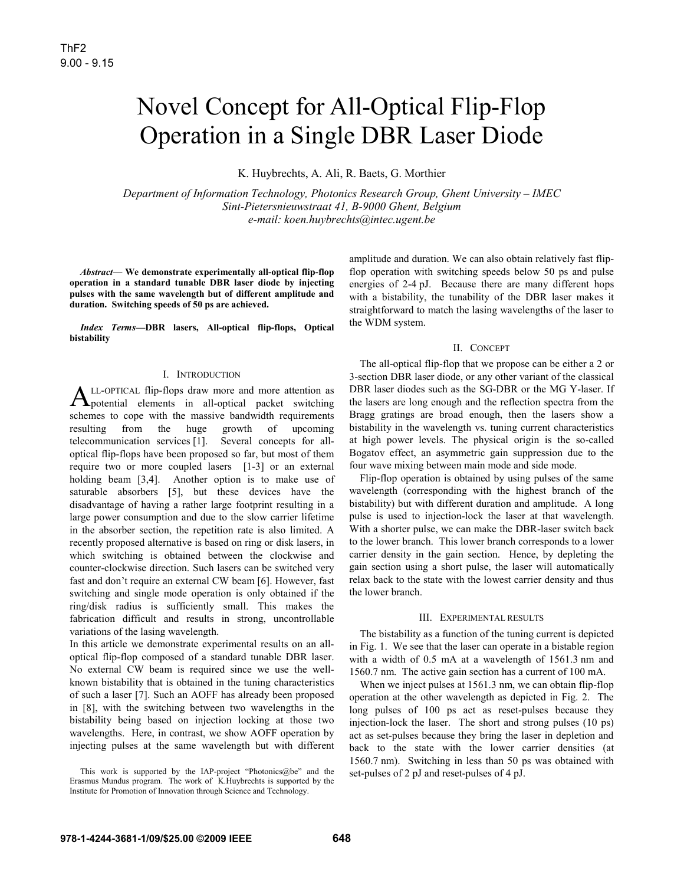# Novel Concept for All-Optical Flip-Flop Operation in a Single DBR Laser Diode

K. Huybrechts, A. Ali, R. Baets, G. Morthier

*Department of Information Technology, Photonics Research Group, Ghent University – IMEC Sint-Pietersnieuwstraat 41, B-9000 Ghent, Belgium e-mail: koen.huybrechts@intec.ugent.be* 

*Abstract***— We demonstrate experimentally all-optical flip-flop operation in a standard tunable DBR laser diode by injecting pulses with the same wavelength but of different amplitude and duration. Switching speeds of 50 ps are achieved.** 

*Index Terms***—DBR lasers, All-optical flip-flops, Optical bistability** 

## I. INTRODUCTION

LL-OPTICAL flip-flops draw more and more attention as  $A$ LL-OPTICAL flip-flops draw more and more attention as potential elements in all-optical packet switching schemes to cope with the massive bandwidth requirements resulting from the huge growth of upcoming telecommunication services [1]. Several concepts for alloptical flip-flops have been proposed so far, but most of them require two or more coupled lasers [1-3] or an external holding beam [3,4]. Another option is to make use of saturable absorbers [5], but these devices have the disadvantage of having a rather large footprint resulting in a large power consumption and due to the slow carrier lifetime in the absorber section, the repetition rate is also limited. A recently proposed alternative is based on ring or disk lasers, in which switching is obtained between the clockwise and counter-clockwise direction. Such lasers can be switched very fast and don't require an external CW beam [6]. However, fast switching and single mode operation is only obtained if the ring/disk radius is sufficiently small. This makes the fabrication difficult and results in strong, uncontrollable variations of the lasing wavelength.

In this article we demonstrate experimental results on an alloptical flip-flop composed of a standard tunable DBR laser. No external CW beam is required since we use the wellknown bistability that is obtained in the tuning characteristics of such a laser [7]. Such an AOFF has already been proposed in [8], with the switching between two wavelengths in the bistability being based on injection locking at those two wavelengths. Here, in contrast, we show AOFF operation by injecting pulses at the same wavelength but with different amplitude and duration. We can also obtain relatively fast flipflop operation with switching speeds below 50 ps and pulse energies of 2-4 pJ. Because there are many different hops with a bistability, the tunability of the DBR laser makes it straightforward to match the lasing wavelengths of the laser to the WDM system.

#### II. CONCEPT

The all-optical flip-flop that we propose can be either a 2 or 3-section DBR laser diode, or any other variant of the classical DBR laser diodes such as the SG-DBR or the MG Y-laser. If the lasers are long enough and the reflection spectra from the Bragg gratings are broad enough, then the lasers show a bistability in the wavelength vs. tuning current characteristics at high power levels. The physical origin is the so-called Bogatov effect, an asymmetric gain suppression due to the four wave mixing between main mode and side mode.

Flip-flop operation is obtained by using pulses of the same wavelength (corresponding with the highest branch of the bistability) but with different duration and amplitude. A long pulse is used to injection-lock the laser at that wavelength. With a shorter pulse, we can make the DBR-laser switch back to the lower branch. This lower branch corresponds to a lower carrier density in the gain section. Hence, by depleting the gain section using a short pulse, the laser will automatically relax back to the state with the lowest carrier density and thus the lower branch.

# III. EXPERIMENTAL RESULTS

The bistability as a function of the tuning current is depicted in Fig. 1. We see that the laser can operate in a bistable region with a width of 0.5 mA at a wavelength of 1561.3 nm and 1560.7 nm. The active gain section has a current of 100 mA.

When we inject pulses at 1561.3 nm, we can obtain flip-flop operation at the other wavelength as depicted in Fig. 2. The long pulses of 100 ps act as reset-pulses because they injection-lock the laser. The short and strong pulses (10 ps) act as set-pulses because they bring the laser in depletion and back to the state with the lower carrier densities (at 1560.7 nm). Switching in less than 50 ps was obtained with set-pulses of 2 pJ and reset-pulses of 4 pJ.

This work is supported by the IAP-project "Photonics@be" and the Erasmus Mundus program. The work of K.Huybrechts is supported by the Institute for Promotion of Innovation through Science and Technology.